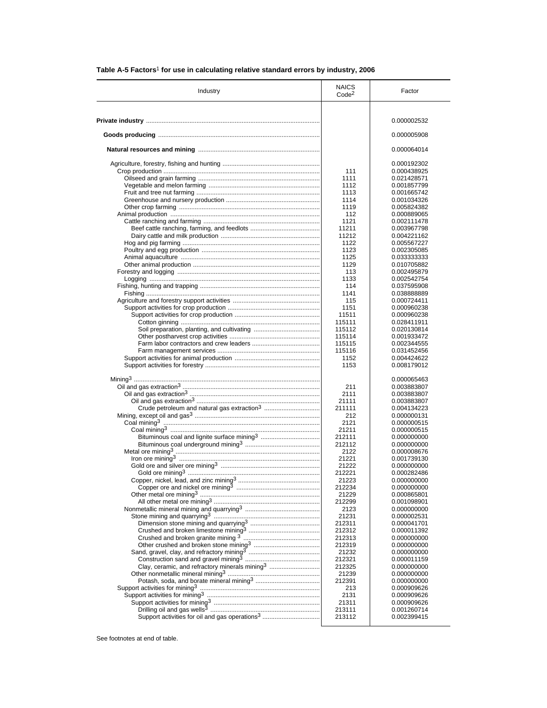| Industry                                                                                                                                                             | <b>NAICS</b><br>Code <sup>2</sup> | Factor                     |
|----------------------------------------------------------------------------------------------------------------------------------------------------------------------|-----------------------------------|----------------------------|
|                                                                                                                                                                      |                                   |                            |
|                                                                                                                                                                      |                                   | 0.000002532                |
|                                                                                                                                                                      |                                   | 0.000005908                |
|                                                                                                                                                                      |                                   | 0.000064014                |
|                                                                                                                                                                      |                                   | 0.000192302                |
|                                                                                                                                                                      | 111                               | 0.000438925                |
|                                                                                                                                                                      | 1111                              | 0.021428571                |
|                                                                                                                                                                      | 1112                              | 0.001857799                |
|                                                                                                                                                                      | 1113                              | 0.001665742                |
|                                                                                                                                                                      | 1114                              | 0.001034326                |
|                                                                                                                                                                      | 1119                              | 0.005824382                |
|                                                                                                                                                                      | 112                               | 0.000889065                |
|                                                                                                                                                                      | 1121                              | 0.002111478                |
|                                                                                                                                                                      | 11211                             | 0.003967798                |
|                                                                                                                                                                      | 11212                             | 0.004221162                |
|                                                                                                                                                                      | 1122                              | 0.005567227                |
|                                                                                                                                                                      | 1123                              | 0.002305085                |
|                                                                                                                                                                      | 1125                              | 0.033333333                |
|                                                                                                                                                                      | 1129                              | 0.010705882                |
|                                                                                                                                                                      | 113                               | 0.002495879                |
|                                                                                                                                                                      | 1133                              | 0.002542754                |
|                                                                                                                                                                      | 114                               | 0.037595908                |
|                                                                                                                                                                      | 1141                              | 0.038888889                |
|                                                                                                                                                                      | 115                               | 0.000724411                |
|                                                                                                                                                                      | 1151                              | 0.000960238                |
|                                                                                                                                                                      | 11511                             | 0.000960238                |
|                                                                                                                                                                      | 115111                            | 0.028411911                |
|                                                                                                                                                                      | 115112                            | 0.020130814                |
|                                                                                                                                                                      | 115114                            | 0.001933472                |
|                                                                                                                                                                      | 115115                            | 0.002344555                |
|                                                                                                                                                                      | 115116                            | 0.031452456                |
|                                                                                                                                                                      | 1152<br>1153                      | 0.004424622<br>0.008179012 |
|                                                                                                                                                                      |                                   |                            |
|                                                                                                                                                                      |                                   | 0.000065463                |
|                                                                                                                                                                      | 211                               | 0.003883807                |
|                                                                                                                                                                      | 2111                              | 0.003883807                |
|                                                                                                                                                                      | 21111                             | 0.003883807                |
| Crude petroleum and natural gas extraction <sup>3</sup>                                                                                                              | 211111                            | 0.004134223                |
|                                                                                                                                                                      | 212                               | 0.000000131                |
|                                                                                                                                                                      | 2121                              | 0.000000515                |
| Bituminous coal and lignite surface mining <sup>3</sup>                                                                                                              | 21211                             | 0.000000515                |
|                                                                                                                                                                      | 212111                            | 0.000000000<br>0.000000000 |
|                                                                                                                                                                      | 212112<br>2122                    |                            |
|                                                                                                                                                                      | 21221                             | 0.000008676                |
|                                                                                                                                                                      | 21222                             | 0.001739130<br>0.000000000 |
|                                                                                                                                                                      | 212221                            |                            |
|                                                                                                                                                                      | 21223                             | 0.000282486<br>0.000000000 |
|                                                                                                                                                                      |                                   |                            |
|                                                                                                                                                                      | 212234<br>21229                   | 0.000000000<br>0.000865801 |
|                                                                                                                                                                      | 212299                            | 0.001098901                |
|                                                                                                                                                                      | 2123                              | 0.000000000                |
|                                                                                                                                                                      | 21231                             | 0.000002531                |
|                                                                                                                                                                      | 212311                            | 0.000041701                |
|                                                                                                                                                                      | 212312                            | 0.000011392                |
|                                                                                                                                                                      | 212313                            | 0.000000000                |
| Crushed and broken limestone mining3<br>Crushed and broken granite mining3<br>Other crushed and broken stone mining3<br>Other crushed and broken stone mining3       | 212319                            | 0.000000000                |
|                                                                                                                                                                      | 21232                             | 0.000000000                |
|                                                                                                                                                                      | 212321                            | 0.000011159                |
| Clay, ceramic, and refractory minerals mining <sup>3</sup>                                                                                                           | 212325                            | 0.000000000                |
|                                                                                                                                                                      | 21239                             | 0.000000000                |
|                                                                                                                                                                      | 212391                            | 0.000000000                |
|                                                                                                                                                                      | 213                               | 0.000909626                |
|                                                                                                                                                                      | 2131                              | 0.000909626                |
| Support activities for mining3<br>Support activities for mining3<br>Support activities for mining3<br>Allergana Communications of the Support activities for mining3 | 21311                             | 0.000909626                |
|                                                                                                                                                                      | 213111                            | 0.001260714                |
|                                                                                                                                                                      | 213112                            | 0.002399415                |

# **Table A-5 Factors**1 **for use in calculating relative standard errors by industry, 2006**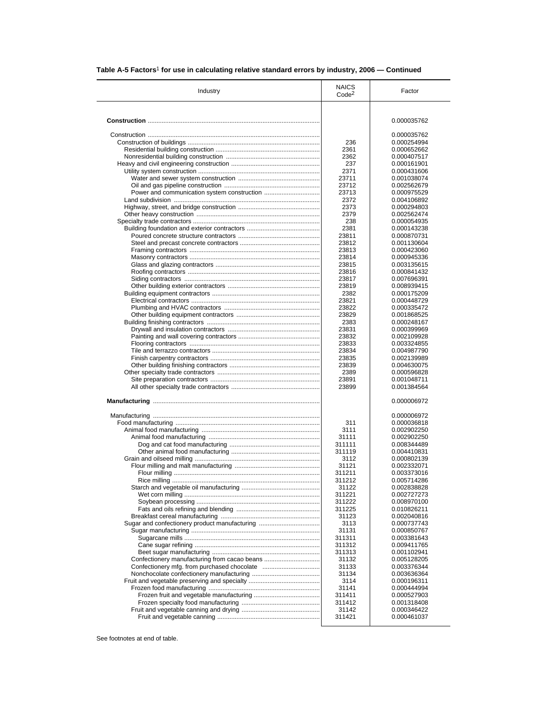| Industry                                      | <b>NAICS</b><br>Code <sup>2</sup> | Factor                     |
|-----------------------------------------------|-----------------------------------|----------------------------|
|                                               |                                   |                            |
|                                               |                                   | 0.000035762                |
|                                               |                                   | 0.000035762                |
|                                               | 236                               | 0.000254994                |
|                                               | 2361                              | 0.000652662                |
|                                               | 2362<br>237                       | 0.000407517<br>0.000161901 |
|                                               | 2371                              | 0.000431606                |
|                                               | 23711                             | 0.001038074                |
|                                               | 23712                             | 0.002562679                |
|                                               | 23713                             | 0.000975529                |
|                                               | 2372                              | 0.004106892                |
|                                               | 2373                              | 0.000294803                |
|                                               | 2379                              | 0.002562474                |
|                                               | 238                               | 0.000054935                |
|                                               | 2381                              | 0.000143238                |
|                                               | 23811                             | 0.000870731                |
|                                               | 23812                             | 0.001130604                |
|                                               | 23813                             | 0.000423060                |
|                                               | 23814                             | 0.000945336                |
|                                               | 23815                             | 0.003135615                |
|                                               | 23816                             | 0.000841432                |
|                                               | 23817                             | 0.007696391                |
|                                               | 23819                             | 0.008939415                |
|                                               | 2382                              | 0.000175209                |
|                                               | 23821                             | 0.000448729                |
|                                               | 23822                             | 0.000335472                |
|                                               | 23829                             | 0.001868525                |
|                                               | 2383                              | 0.000248167                |
|                                               | 23831                             | 0.000399969                |
|                                               | 23832                             | 0.002109928                |
|                                               | 23833                             | 0.003324855                |
|                                               | 23834                             | 0.004987790                |
|                                               | 23835                             | 0.002139989                |
|                                               | 23839                             | 0.004630075                |
|                                               | 2389                              | 0.000596828                |
|                                               | 23891<br>23899                    | 0.001048711<br>0.001384564 |
|                                               |                                   | 0.000006972                |
|                                               |                                   | 0.000006972                |
|                                               | 311                               | 0.000036818                |
|                                               | 3111                              | 0.002902250                |
|                                               | 31111                             | 0.002902250                |
|                                               | 311111                            | 0.008344489                |
|                                               | 311119                            | 0.004410831                |
|                                               | 3112                              | 0.000802139                |
|                                               | 31121                             | 0.002332071                |
|                                               | 311211                            | 0.003373016                |
|                                               | 311212                            | 0.005714286                |
|                                               | 31122                             | 0.002838828                |
|                                               | 311221                            | 0.002727273                |
|                                               | 311222                            | 0.008970100                |
|                                               | 311225                            | 0.010826211                |
|                                               | 31123                             | 0.002040816                |
| Sugar and confectionery product manufacturing | 3113                              | 0.000737743                |
|                                               | 31131                             | 0.000850767                |
|                                               | 311311                            | 0.003381643                |
|                                               | 311312                            | 0.009411765                |
|                                               | 311313<br>31132                   | 0.001102941<br>0.005128205 |
|                                               | 31133                             | 0.003376344                |
|                                               | 31134                             | 0.003636364                |
|                                               | 3114                              | 0.000196311                |
|                                               | 31141                             | 0.000444994                |
|                                               |                                   | 0.000527903                |
|                                               |                                   |                            |
|                                               | 311411                            |                            |
|                                               | 311412<br>31142                   | 0.001318408<br>0.000346422 |

# **Table A-5 Factors**1 **for use in calculating relative standard errors by industry, 2006 — Continued**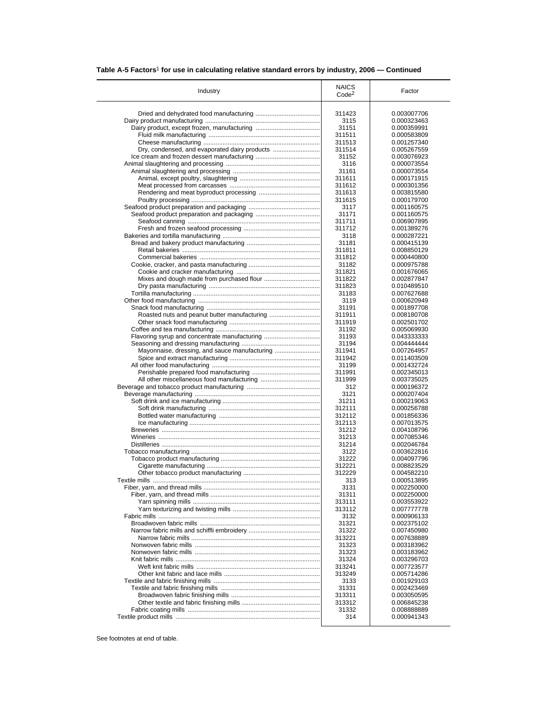| Table A-5 Factors <sup>1</sup> for use in calculating relative standard errors by industry, 2006 – Continued |  |  |  |
|--------------------------------------------------------------------------------------------------------------|--|--|--|
|--------------------------------------------------------------------------------------------------------------|--|--|--|

| Industry                                      | <b>NAICS</b><br>Code <sup>2</sup> | Factor                     |
|-----------------------------------------------|-----------------------------------|----------------------------|
|                                               |                                   |                            |
|                                               | 311423                            | 0.003007706                |
|                                               | 3115                              | 0.000323463                |
|                                               | 31151                             | 0.000359991                |
|                                               | 311511                            | 0.000583809                |
|                                               | 311513                            | 0.001257340                |
| Dry, condensed, and evaporated dairy products | 311514                            | 0.005267559                |
|                                               | 31152                             | 0.003076923                |
|                                               | 3116                              | 0.000073554                |
|                                               | 31161                             | 0.000073554                |
|                                               | 311611                            | 0.000171915                |
|                                               | 311612                            | 0.000301356                |
|                                               | 311613                            | 0.003815580                |
|                                               | 311615                            | 0.000179700                |
|                                               | 3117                              | 0.001160575                |
|                                               | 31171                             | 0.001160575                |
|                                               | 311711                            | 0.006907895                |
|                                               | 311712                            | 0.001389276                |
|                                               | 3118<br>31181                     | 0.000287221<br>0.000415139 |
|                                               | 311811                            | 0.008850129                |
|                                               | 311812                            | 0.000440800                |
|                                               | 31182                             | 0.000975788                |
|                                               | 311821                            | 0.001676065                |
|                                               | 311822                            | 0.002877847                |
|                                               | 311823                            | 0.010489510                |
|                                               | 31183                             | 0.007627688                |
|                                               | 3119                              | 0.000620949                |
|                                               | 31191                             | 0.001897708                |
|                                               | 311911                            | 0.008180708                |
|                                               | 311919                            | 0.002501702                |
|                                               | 31192                             | 0.005069930                |
| Flavoring syrup and concentrate manufacturing | 31193                             | 0.043333333                |
|                                               | 31194                             | 0.004444444                |
| Mayonnaise, dressing, and sauce manufacturing | 311941                            | 0.007264957                |
|                                               | 311942                            | 0.011403509                |
|                                               | 31199                             | 0.001432724                |
|                                               | 311991                            | 0.002345013                |
|                                               | 311999                            | 0.003735025                |
|                                               | 312                               | 0.000196372                |
|                                               | 3121                              | 0.000207404                |
|                                               | 31211                             | 0.000219063                |
|                                               | 312111                            | 0.000256788                |
|                                               | 312112                            | 0.001856336                |
|                                               | 312113                            | 0.007013575                |
|                                               | 31212<br>31213                    | 0.004108796                |
|                                               | 31214                             | 0.007085346                |
|                                               | 3122                              | 0.002046784<br>0.003622816 |
|                                               | 31222                             | 0.004097796                |
|                                               | 312221                            | 0.008823529                |
|                                               | 312229                            | 0.004582210                |
|                                               | 313                               | 0.000513895                |
|                                               | 3131                              | 0.002250000                |
|                                               | 31311                             | 0.002250000                |
|                                               | 313111                            | 0.003553922                |
|                                               | 313112                            | 0.007777778                |
|                                               | 3132                              | 0.000906133                |
|                                               | 31321                             | 0.002375102                |
|                                               | 31322                             | 0.007450980                |
|                                               | 313221                            | 0.007638889                |
|                                               | 31323                             | 0.003183962                |
|                                               | 31323                             | 0.003183962                |
|                                               | 31324                             | 0.003296703                |
|                                               | 313241                            | 0.007723577                |
|                                               | 313249                            | 0.005714286                |
|                                               | 3133                              | 0.001929103                |
|                                               | 31331                             | 0.002423469                |
|                                               |                                   |                            |
|                                               | 313311                            | 0.003050595                |
|                                               | 313312                            | 0.006845238                |
|                                               | 31332                             | 0.008888889                |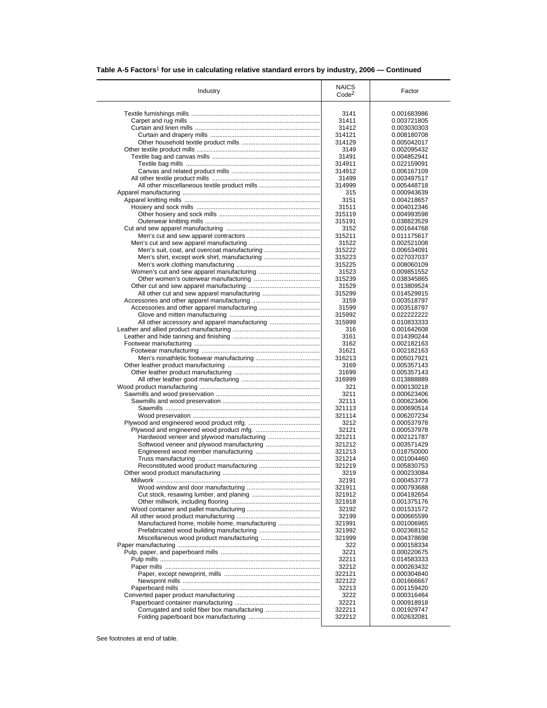| Industry                                      | <b>NAICS</b><br>Code <sup>2</sup> | Factor                     |
|-----------------------------------------------|-----------------------------------|----------------------------|
|                                               |                                   |                            |
|                                               | 3141                              | 0.001683986                |
|                                               | 31411                             | 0.003721805                |
|                                               | 31412                             | 0.003030303                |
|                                               | 314121                            | 0.008180708                |
|                                               | 314129                            | 0.005042017                |
|                                               | 3149                              | 0.002095432                |
|                                               | 31491                             | 0.004852941                |
|                                               | 314911                            | 0.022159091                |
|                                               | 314912                            | 0.006167109                |
|                                               | 31499                             | 0.003497517                |
|                                               | 314999                            | 0.005448718                |
|                                               | 315                               | 0.000943639                |
|                                               | 3151                              | 0.004218657                |
|                                               | 31511                             | 0.004012346                |
|                                               | 315119                            | 0.004993598                |
|                                               | 315191                            | 0.038823529                |
|                                               | 3152                              | 0.001644768                |
|                                               | 315211                            | 0.011175617                |
|                                               | 31522                             | 0.002521008                |
| Men's suit, coat, and overcoat manufacturing  | 315222                            | 0.006534091                |
| Men's shirt, except work shirt, manufacturing | 315223                            | 0.027037037                |
|                                               | 315225                            | 0.008060109                |
|                                               | 31523                             | 0.009851552                |
|                                               | 315239                            | 0.038345865                |
|                                               | 31529                             | 0.013809524                |
|                                               | 315299                            | 0.014529915                |
|                                               | 3159                              | 0.003518797                |
|                                               | 31599                             | 0.003518797                |
|                                               | 315992                            | 0.022222222                |
| All other accessory and apparel manufacturing | 315999                            | 0.010833333                |
|                                               | 316                               | 0.001642608                |
|                                               | 3161                              | 0.014390244                |
|                                               | 3162                              | 0.002182163                |
|                                               | 31621                             | 0.002182163                |
|                                               | 316213                            | 0.005017921                |
|                                               | 3169                              | 0.005357143                |
|                                               | 31699                             | 0.005357143                |
|                                               | 316999                            | 0.013888889                |
|                                               | 321                               | 0.000130218                |
|                                               | 3211                              | 0.000623406                |
|                                               | 32111                             | 0.000623406                |
|                                               | 321113                            | 0.000690514                |
|                                               | 321114                            | 0.006207234                |
|                                               | 3212                              | 0.000537978                |
|                                               | 32121                             | 0.000537978                |
|                                               |                                   |                            |
|                                               | 321211<br>321212                  | 0.002121787                |
|                                               | 321213                            | 0.003571429                |
|                                               |                                   | 0.018750000                |
|                                               | 321214<br>321219                  | 0.001004460<br>0.005830753 |
|                                               |                                   |                            |
|                                               | 3219                              | 0.000233084                |

Millwork .............................................................................................. 32191 0.000453773 Wood window and door manufacturing .......................................... 321911 0.000793688 Cut stock, resawing lumber, and planing ....................................... 321912 0.004192654

Wood container and pallet manufacturing .......................................... 32192 0.001531572 All other wood product manufacturing ................................................ 32199 0.000665599 Manufactured home, mobile home, manufacturing ........................ 321991 0.001006965 Prefabricated wood building manufacturing ................................... 321992 0.002368152 Miscellaneous wood product manufacturing .................................. 321999 0.004378698 Paper manufacturing .................................................................................. 322 0.000158334 Pulp, paper, and paperboard mills ......................................................... 3221 0.000220675 Pulp mills ............................................................................................ 32211 0.014583333 Paper mills ......................................................................................... 32212 0.000263432 Paper, except newsprint, mills ....................................................... 322121 0.000304840 Newsprint mills ............................................................................... 322122 0.001666667 Paperboard mills ................................................................................ 32213 0.001159420 Converted paper product manufacturing ................................................ 3222 0.000316464 Paperboard container manufacturing ................................................. 32221 0.000918918 Corrugated and solid fiber box manufacturing ............................... 322211 0.001929747

Other millwork, including flooring ................................................... 321918 0.001375176

Folding paperboard box manufacturing ......................................... 322212 0.002632081

### **Table A-5 Factors**1 **for use in calculating relative standard errors by industry, 2006 — Continued**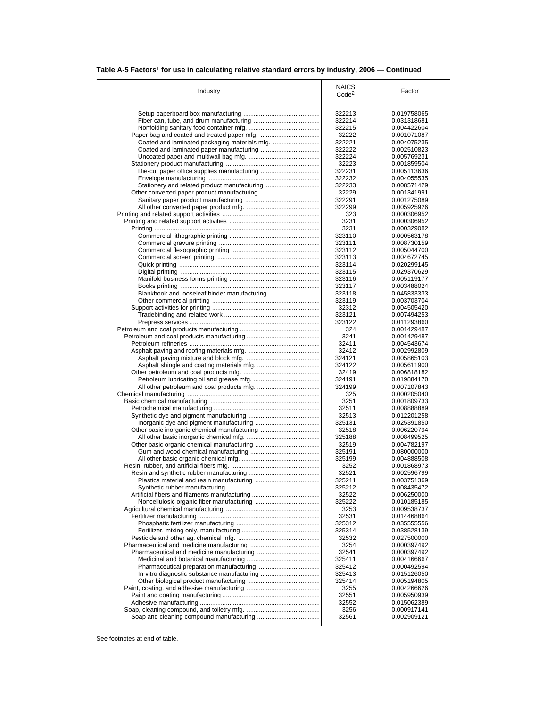| Table A-5 Factors <sup>1</sup> for use in calculating relative standard errors by industry, 2006 – Continued |  |  |  |  |
|--------------------------------------------------------------------------------------------------------------|--|--|--|--|
|--------------------------------------------------------------------------------------------------------------|--|--|--|--|

| Industry                                     | <b>NAICS</b><br>Code <sup>2</sup> | Factor      |
|----------------------------------------------|-----------------------------------|-------------|
|                                              |                                   |             |
|                                              | 322213                            | 0.019758065 |
|                                              | 322214                            | 0.031318681 |
|                                              | 322215                            | 0.004422604 |
|                                              | 32222                             | 0.001071087 |
|                                              | 322221                            | 0.004075235 |
|                                              | 322222                            | 0.002510823 |
|                                              | 322224                            | 0.005769231 |
|                                              | 32223                             | 0.001859504 |
|                                              | 322231                            | 0.005113636 |
|                                              | 322232                            | 0.004055535 |
|                                              | 322233                            | 0.008571429 |
|                                              | 32229                             | 0.001341991 |
|                                              | 322291                            | 0.001275089 |
|                                              | 322299                            | 0.005925926 |
|                                              | 323                               | 0.000306952 |
|                                              | 3231                              | 0.000306952 |
|                                              | 3231                              | 0.000329082 |
|                                              | 323110                            | 0.000563178 |
|                                              | 323111                            | 0.008730159 |
|                                              | 323112                            | 0.005044700 |
|                                              | 323113                            | 0.004672745 |
|                                              | 323114                            | 0.020299145 |
|                                              | 323115                            | 0.029370629 |
|                                              | 323116                            | 0.005119177 |
|                                              | 323117                            | 0.003488024 |
| Blankbook and looseleaf binder manufacturing | 323118                            | 0.045833333 |
|                                              | 323119                            | 0.003703704 |
|                                              | 32312                             | 0.004505420 |
|                                              | 323121                            | 0.007494253 |
|                                              |                                   |             |
|                                              | 323122                            | 0.011293860 |
|                                              | 324                               | 0.001429487 |
|                                              | 3241                              | 0.001429487 |
|                                              | 32411                             | 0.004543674 |
|                                              | 32412                             | 0.002992809 |
|                                              | 324121                            | 0.005865103 |
|                                              | 324122                            | 0.005611900 |
|                                              | 32419                             | 0.006818182 |
|                                              | 324191                            | 0.019884170 |
|                                              | 324199                            | 0.007107843 |
|                                              | 325                               | 0.000205040 |
|                                              | 3251                              | 0.001809733 |
|                                              | 32511                             | 0.008888889 |
|                                              | 32513                             | 0.012201258 |
|                                              | 325131                            | 0.025391850 |
| Other basic inorganic chemical manufacturing | 32518                             | 0.006220794 |
|                                              | 325188                            | 0.008499525 |
|                                              | 32519                             | 0.004782197 |
|                                              | 325191                            | 0.080000000 |
|                                              | 325199                            | 0.004888508 |
|                                              | 3252                              | 0.001868973 |
|                                              | 32521                             | 0.002596799 |
|                                              | 325211                            | 0.003751369 |
|                                              | 325212                            | 0.008435472 |
|                                              | 32522                             | 0.006250000 |
|                                              | 325222                            | 0.010185185 |
|                                              | 3253                              | 0.009538737 |
|                                              | 32531                             | 0.014468864 |
|                                              | 325312                            | 0.035555556 |
|                                              | 325314                            | 0.038528139 |
|                                              |                                   |             |
|                                              | 32532                             | 0.027500000 |
|                                              | 3254                              | 0.000397492 |
|                                              | 32541                             | 0.000397492 |
|                                              | 325411                            | 0.004166667 |
|                                              | 325412                            | 0.000492594 |
|                                              | 325413                            | 0.015126050 |
|                                              | 325414                            | 0.005194805 |
|                                              | 3255                              | 0.004266626 |
|                                              |                                   | 0.005950939 |
|                                              | 32551                             |             |
|                                              | 32552                             | 0.015062389 |
|                                              | 3256                              | 0.000917141 |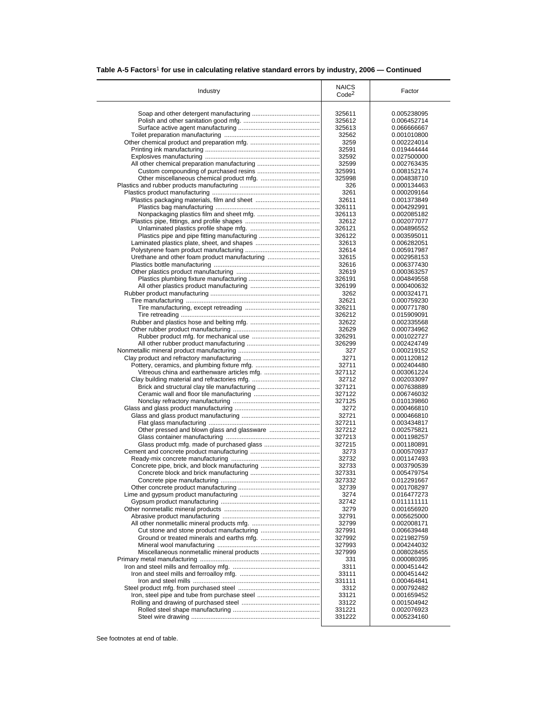|  |  |  |  | Table A-5 Factors <sup>1</sup> for use in calculating relative standard errors by industry, 2006 – Continued |
|--|--|--|--|--------------------------------------------------------------------------------------------------------------|
|--|--|--|--|--------------------------------------------------------------------------------------------------------------|

| Industry                                      | <b>NAICS</b><br>Code <sup>2</sup> | Factor                     |
|-----------------------------------------------|-----------------------------------|----------------------------|
|                                               |                                   |                            |
|                                               | 325611                            | 0.005238095                |
|                                               | 325612                            | 0.006452714                |
|                                               | 325613                            | 0.066666667                |
|                                               | 32562<br>3259                     | 0.001010800                |
|                                               | 32591                             | 0.002224014                |
|                                               |                                   | 0.019444444                |
|                                               | 32592<br>32599                    | 0.027500000                |
|                                               |                                   | 0.002763435                |
|                                               | 325991<br>325998                  | 0.008152174<br>0.004838710 |
|                                               | 326                               | 0.000134463                |
|                                               | 3261                              | 0.000209164                |
|                                               | 32611                             | 0.001373849                |
|                                               | 326111                            | 0.004292991                |
|                                               | 326113                            | 0.002085182                |
|                                               | 32612                             | 0.002077077                |
|                                               | 326121                            | 0.004896552                |
|                                               | 326122                            | 0.003595011                |
|                                               | 32613                             | 0.006282051                |
|                                               | 32614                             | 0.005917987                |
| Urethane and other foam product manufacturing | 32615                             | 0.002958153                |
|                                               | 32616                             | 0.006377430                |
|                                               | 32619                             | 0.000363257                |
|                                               | 326191                            | 0.004849558                |
|                                               | 326199                            | 0.000400632                |
|                                               | 3262                              | 0.000324171                |
|                                               | 32621                             | 0.000759230                |
|                                               | 326211                            | 0.000771780                |
|                                               | 326212                            | 0.015909091                |
|                                               | 32622                             | 0.002335568                |
|                                               | 32629                             | 0.000734962                |
|                                               | 326291                            | 0.001022727                |
|                                               | 326299                            | 0.002424749                |
|                                               | 327                               | 0.000219152                |
|                                               | 3271                              | 0.001120812                |
|                                               | 32711                             | 0.002404480                |
|                                               | 327112                            | 0.003061224                |
|                                               | 32712                             | 0.002033097                |
|                                               | 327121                            | 0.007638889                |
|                                               | 327122                            | 0.006746032                |
|                                               | 327125                            | 0.010139860                |
|                                               | 3272                              | 0.000466810                |
|                                               | 32721                             | 0.000466810                |
|                                               | 327211                            | 0.003434817                |
|                                               | 327212                            | 0.002575821                |
|                                               | 327213                            | 0.001198257                |
|                                               | 327215                            | 0.001180891                |
|                                               | 3273                              | 0.000570937                |
|                                               | 32732                             | 0.001147493                |
| Concrete pipe, brick, and block manufacturing | 32733                             | 0.003790539                |
|                                               | 327331                            | 0.005479754                |
|                                               | 327332                            | 0.012291667                |
|                                               | 32739                             | 0.001708297                |
|                                               | 3274                              | 0.016477273                |
|                                               | 32742                             | 0.011111111                |
|                                               | 3279                              | 0.001656920                |
|                                               | 32791                             | 0.005625000                |
|                                               | 32799                             | 0.002008171                |
|                                               | 327991                            | 0.006639448                |
|                                               | 327992                            | 0.021982759                |
|                                               | 327993                            | 0.004244032                |
|                                               | 327999                            | 0.008028455                |
|                                               | 331                               | 0.000080395                |
|                                               | 3311                              | 0.000451442                |
|                                               | 33111                             | 0.000451442                |
|                                               | 331111                            | 0.000464841                |
|                                               | 3312<br>33121                     | 0.000792482<br>0.001659452 |
|                                               | 33122                             | 0.001504942                |
|                                               | 331221                            | 0.002076923                |
|                                               |                                   |                            |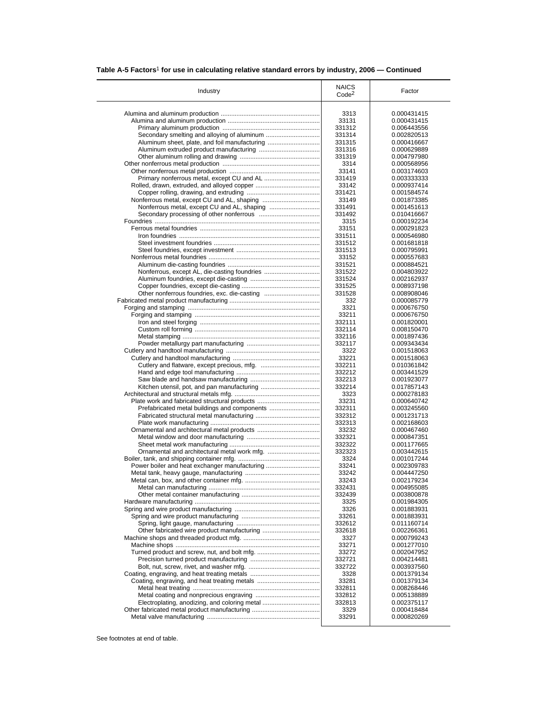| Table A-5 Factors <sup>1</sup> for use in calculating relative standard errors by industry, 2006 – Continued |  |  |  |  |
|--------------------------------------------------------------------------------------------------------------|--|--|--|--|
|--------------------------------------------------------------------------------------------------------------|--|--|--|--|

| Industry                                      | <b>NAICS</b><br>Code <sup>2</sup> | Factor                     |
|-----------------------------------------------|-----------------------------------|----------------------------|
|                                               | 3313                              | 0.000431415                |
|                                               | 33131                             | 0.000431415                |
|                                               | 331312                            | 0.006443556                |
|                                               | 331314                            | 0.002820513                |
| Aluminum sheet, plate, and foil manufacturing | 331315                            | 0.000416667                |
|                                               | 331316                            | 0.000629889                |
|                                               | 331319                            | 0.004797980                |
|                                               | 3314                              | 0.000568956                |
|                                               | 33141                             | 0.003174603                |
|                                               | 331419                            | 0.003333333                |
|                                               | 33142                             | 0.000937414                |
|                                               | 331421                            | 0.001584574                |
|                                               | 33149                             | 0.001873385                |
|                                               | 331491                            | 0.001451613                |
|                                               | 331492<br>3315                    | 0.010416667<br>0.000192234 |
|                                               | 33151                             | 0.000291823                |
|                                               | 331511                            | 0.000546980                |
|                                               | 331512                            | 0.001681818                |
|                                               | 331513                            | 0.000795991                |
|                                               | 33152                             | 0.000557683                |
|                                               | 331521                            | 0.000884521                |
| Nonferrous, except AL, die-casting foundries  | 331522                            | 0.004803922                |
|                                               | 331524                            | 0.002162937                |
|                                               | 331525                            | 0.008937198                |
|                                               | 331528                            | 0.008908046                |
|                                               | 332                               | 0.000085779                |
|                                               | 3321                              | 0.000676750                |
|                                               | 33211                             | 0.000676750                |
|                                               | 332111                            | 0.001820001                |
|                                               | 332114                            | 0.008150470                |
|                                               | 332116                            | 0.001897436                |
|                                               | 332117<br>3322                    | 0.009343434                |
|                                               | 33221                             | 0.001518063<br>0.001518063 |
|                                               | 332211                            | 0.010361842                |
|                                               | 332212                            | 0.003441529                |
|                                               | 332213                            | 0.001923077                |
|                                               | 332214                            | 0.017857143                |
|                                               | 3323                              | 0.000278183                |
| Plate work and fabricated structural products | 33231                             | 0.000640742                |
|                                               | 332311                            | 0.003245560                |
|                                               | 332312                            | 0.001231713                |
|                                               | 332313                            | 0.002168603                |
|                                               | 33232                             | 0.000467460                |
|                                               | 332321                            | 0.000847351                |
|                                               | 332322                            | 0.001177665                |
|                                               | 332323<br>3324                    | 0.003442615<br>0.001017244 |
| Power boiler and heat exchanger manufacturing | 33241                             | 0.002309783                |
|                                               | 33242                             | 0.004447250                |
|                                               | 33243                             | 0.002179234                |
|                                               | 332431                            | 0.004955085                |
|                                               | 332439                            | 0.003800878                |
|                                               | 3325                              | 0.001984305                |
|                                               | 3326                              | 0.001883931                |
|                                               | 33261                             | 0.001883931                |
|                                               | 332612                            | 0.011160714                |
|                                               | 332618                            | 0.002266361                |
|                                               | 3327                              | 0.000799243                |
|                                               | 33271                             | 0.001277010                |
|                                               | 33272                             | 0.002047952                |
|                                               | 332721<br>332722                  | 0.004214481                |
|                                               | 3328                              | 0.003937560<br>0.001379134 |
|                                               | 33281                             | 0.001379134                |
|                                               | 332811                            | 0.008268446                |
|                                               | 332812                            | 0.005138889                |
| Electroplating, anodizing, and coloring metal | 332813                            | 0.002375117                |
|                                               |                                   |                            |
|                                               | 3329                              | 0.000418484                |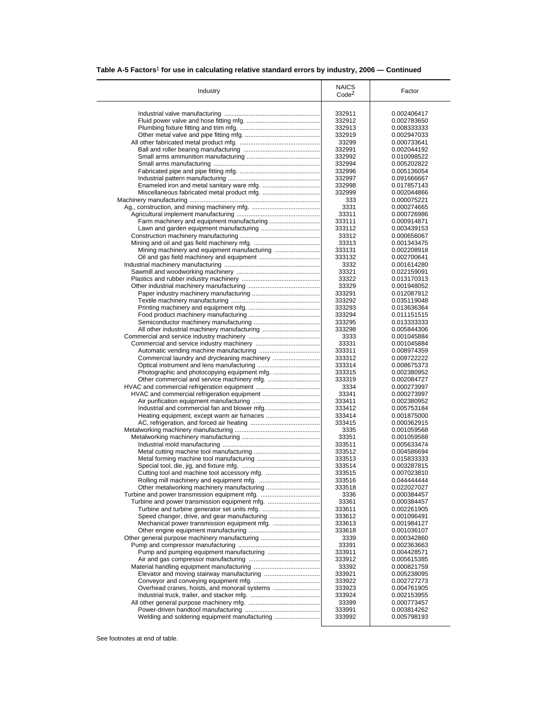|  | Table A-5 Factors <sup>1</sup> for use in calculating relative standard errors by industry, 2006 – Continued |
|--|--------------------------------------------------------------------------------------------------------------|
|  |                                                                                                              |

| Industry                                      | <b>NAICS</b><br>Code <sup>2</sup> | Factor                     |
|-----------------------------------------------|-----------------------------------|----------------------------|
|                                               | 332911                            | 0.002406417                |
|                                               | 332912                            | 0.002783650                |
|                                               | 332913                            | 0.008333333                |
|                                               | 332919                            | 0.002947033                |
|                                               | 33299                             | 0.000733641                |
|                                               | 332991                            | 0.002044192                |
|                                               | 332992                            | 0.010098522                |
|                                               | 332994                            | 0.005202822                |
|                                               | 332996                            | 0.005136054                |
|                                               | 332997                            | 0.091666667                |
|                                               | 332998                            | 0.017857143                |
|                                               | 332999                            | 0.002044866                |
|                                               | 333                               | 0.000075221                |
|                                               | 3331                              | 0.000274665                |
|                                               | 33311                             | 0.000726986                |
| Lawn and garden equipment manufacturing       | 333111<br>333112                  | 0.000914871<br>0.003439153 |
|                                               | 33312                             | 0.000656067                |
|                                               | 33313                             | 0.001343475                |
|                                               | 333131                            | 0.002208918                |
|                                               | 333132                            | 0.002700641                |
|                                               | 3332                              | 0.001614280                |
|                                               | 33321                             | 0.022159091                |
|                                               | 33322                             | 0.013170313                |
|                                               | 33329                             | 0.001948052                |
|                                               | 333291                            | 0.012087912                |
|                                               | 333292                            | 0.035119048                |
|                                               | 333293                            | 0.013636364                |
|                                               | 333294                            | 0.011151515                |
|                                               | 333295                            | 0.013333333                |
|                                               | 333298                            | 0.005844306                |
|                                               | 3333                              | 0.001045884                |
|                                               | 33331                             | 0.001045884                |
|                                               | 333311<br>333312                  | 0.008974359<br>0.009722222 |
|                                               | 333314                            | 0.008675373                |
|                                               | 333315                            | 0.002380952                |
|                                               | 333319                            | 0.002084727                |
|                                               | 3334                              | 0.000273997                |
|                                               | 33341                             | 0.000273997                |
|                                               | 333411                            | 0.002380952                |
|                                               | 333412                            | 0.005753184                |
|                                               | 333414                            | 0.001875000                |
|                                               | 333415                            | 0.000362915                |
|                                               | 3335                              | 0.001059568                |
|                                               | 33351                             | 0.001059568                |
|                                               | 333511                            | 0.005633474                |
|                                               | 333512                            | 0.004586694                |
|                                               | 333513                            | 0.015833333                |
|                                               | 333514                            | 0.003287815<br>0.007023810 |
|                                               | 333515<br>333516                  | 0.04444444                 |
|                                               | 333518                            | 0.022027027                |
|                                               | 3336                              | 0.000384457                |
|                                               | 33361                             | 0.000384457                |
|                                               | 333611                            | 0.002261905                |
|                                               | 333612                            | 0.001096491                |
|                                               | 333613                            | 0.001984127                |
|                                               | 333618                            | 0.001036107                |
| Other general purpose machinery manufacturing | 3339                              | 0.000342860                |
|                                               | 33391                             | 0.002363663                |
|                                               | 333911                            | 0.004428571                |
|                                               | 333912                            | 0.005615385                |
|                                               | 33392                             | 0.000821759                |
|                                               | 333921                            | 0.005238095                |
|                                               | 333922                            | 0.002727273                |
| Overhead cranes, hoists, and monorail systems | 333923                            | 0.004761905                |
|                                               | 333924                            | 0.002153955                |
|                                               | 33399<br>333991                   | 0.000773457<br>0.003814262 |
|                                               |                                   |                            |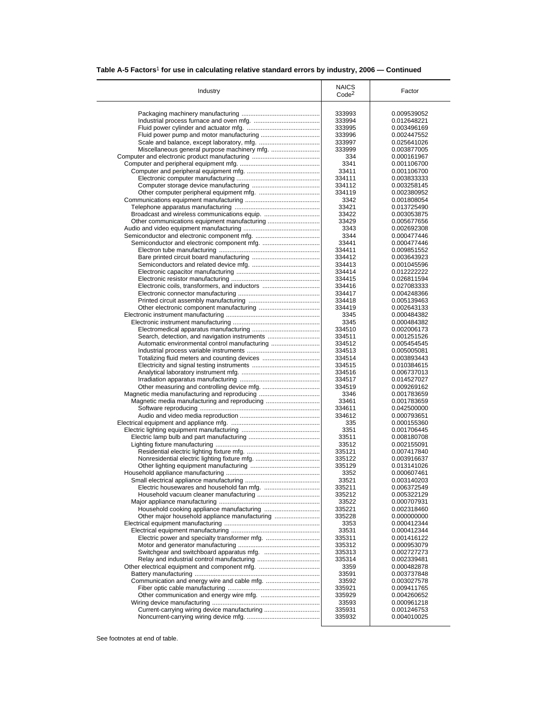|  |  |  |  | Table A-5 Factors <sup>1</sup> for use in calculating relative standard errors by industry, 2006 – Continued |
|--|--|--|--|--------------------------------------------------------------------------------------------------------------|
|--|--|--|--|--------------------------------------------------------------------------------------------------------------|

| Industry                                      | <b>NAICS</b><br>Code <sup>2</sup> | Factor                     |
|-----------------------------------------------|-----------------------------------|----------------------------|
|                                               |                                   |                            |
|                                               | 333993                            | 0.009539052                |
|                                               | 333994                            | 0.012648221                |
|                                               | 333995                            | 0.003496169                |
|                                               | 333996                            | 0.002447552                |
|                                               | 333997                            | 0.025641026                |
|                                               | 333999                            | 0.003877005                |
|                                               | 334<br>3341                       | 0.000161967<br>0.001106700 |
|                                               | 33411                             | 0.001106700                |
|                                               | 334111                            | 0.003833333                |
|                                               | 334112                            | 0.003258145                |
|                                               | 334119                            | 0.002380952                |
|                                               | 3342                              | 0.001808054                |
|                                               | 33421                             | 0.013725490                |
|                                               | 33422                             | 0.003053875                |
|                                               | 33429                             | 0.005677656                |
|                                               | 3343                              | 0.002692308                |
|                                               | 3344                              | 0.000477446                |
|                                               | 33441                             | 0.000477446                |
|                                               | 334411                            | 0.009851552                |
|                                               | 334412                            | 0.003643923                |
|                                               | 334413                            | 0.001045596                |
|                                               | 334414                            | 0.012222222                |
|                                               | 334415                            | 0.026811594                |
| Electronic coils, transformers, and inductors | 334416                            | 0.027083333                |
|                                               | 334417                            | 0.004248366                |
|                                               | 334418                            | 0.005139463                |
|                                               | 334419                            | 0.002643133                |
|                                               | 3345                              | 0.000484382                |
|                                               | 3345<br>334510                    | 0.000484382                |
| Search, detection, and navigation instruments | 334511                            | 0.002006173<br>0.001251526 |
| Automatic environmental control manufacturing | 334512                            | 0.005454545                |
|                                               | 334513                            | 0.005005081                |
|                                               | 334514                            | 0.003893443                |
|                                               | 334515                            | 0.010384615                |
|                                               | 334516                            | 0.006737013                |
|                                               | 334517                            | 0.014527027                |
|                                               | 334519                            | 0.009269162                |
|                                               | 3346                              | 0.001783659                |
|                                               | 33461                             | 0.001783659                |
|                                               | 334611                            | 0.042500000                |
|                                               | 334612                            | 0.000793651                |
|                                               | 335                               | 0.000155360                |
|                                               | 3351                              | 0.001706445                |
|                                               | 33511                             | 0.008180708                |
|                                               | 33512                             | 0.002155091                |
|                                               | 335121                            | 0.007417840                |
|                                               | 335122                            | 0.003916637                |
|                                               | 335129                            | 0.013141026                |
|                                               | 3352                              | 0.000607461                |
|                                               | 33521                             | 0.003140203                |
|                                               | 335211                            | 0.006372549                |
|                                               | 335212<br>33522                   | 0.005322129<br>0.000707931 |
|                                               |                                   |                            |
| Other major household appliance manufacturing | 335221<br>335228                  | 0.002318460<br>0.000000000 |
|                                               | 3353                              | 0.000412344                |
|                                               | 33531                             | 0.000412344                |
|                                               | 335311                            | 0.001416122                |
|                                               | 335312                            | 0.000953079                |
|                                               | 335313                            | 0.002727273                |
|                                               | 335314                            | 0.002339481                |
|                                               | 3359                              | 0.000482878                |
|                                               | 33591                             | 0.003737848                |
|                                               | 33592                             | 0.003027578                |
|                                               | 335921                            | 0.009411765                |
|                                               | 335929                            | 0.004260652                |
|                                               | 33593                             | 0.000961218                |
|                                               |                                   |                            |
| Current-carrying wiring device manufacturing  | 335931                            | 0.001246753                |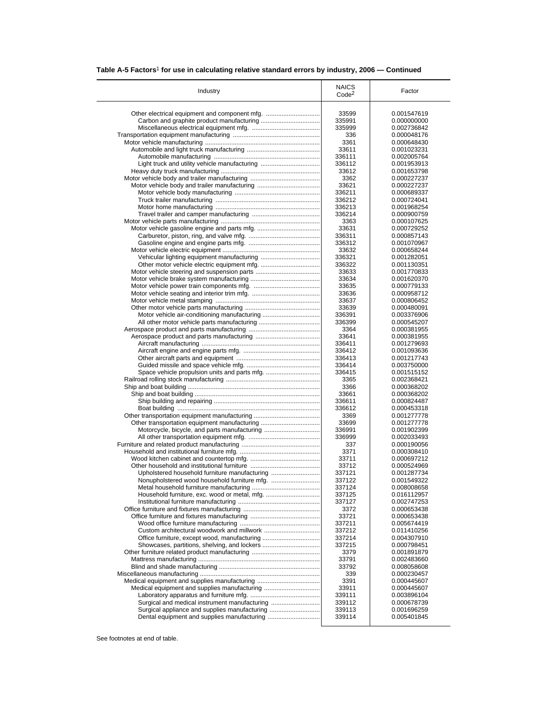| Table A-5 Factors <sup>1</sup> for use in calculating relative standard errors by industry, 2006 – Continued |  |
|--------------------------------------------------------------------------------------------------------------|--|
|--------------------------------------------------------------------------------------------------------------|--|

| Industry                                      | <b>NAICS</b><br>Code <sup>2</sup> | Factor      |
|-----------------------------------------------|-----------------------------------|-------------|
|                                               |                                   |             |
|                                               | 33599                             | 0.001547619 |
|                                               | 335991                            | 0.000000000 |
|                                               | 335999                            | 0.002736842 |
|                                               | 336                               | 0.000048176 |
|                                               | 3361                              | 0.000648430 |
|                                               | 33611                             | 0.001023231 |
|                                               | 336111                            | 0.002005764 |
| Light truck and utility vehicle manufacturing | 336112                            | 0.001953913 |
|                                               |                                   |             |
|                                               | 33612                             | 0.001653798 |
|                                               | 3362                              | 0.000227237 |
|                                               | 33621                             | 0.000227237 |
|                                               | 336211                            | 0.000689337 |
|                                               | 336212                            | 0.000724041 |
|                                               | 336213                            | 0.001968254 |
|                                               | 336214                            | 0.000900759 |
|                                               | 3363                              | 0.000107625 |
|                                               | 33631                             | 0.000729252 |
|                                               | 336311                            | 0.000857143 |
|                                               | 336312                            | 0.001070967 |
|                                               |                                   |             |
|                                               | 33632                             | 0.000658244 |
|                                               | 336321                            | 0.001282051 |
|                                               | 336322                            | 0.001130351 |
|                                               | 33633                             | 0.001770833 |
|                                               | 33634                             | 0.001620370 |
|                                               | 33635                             | 0.000779133 |
|                                               | 33636                             | 0.000958712 |
|                                               | 33637                             | 0.000806452 |
|                                               | 33639                             | 0.000480091 |
| Motor vehicle air-conditioning manufacturing  | 336391                            | 0.003376906 |
|                                               | 336399                            | 0.000545207 |
|                                               |                                   |             |
|                                               | 3364                              | 0.000381955 |
|                                               | 33641                             | 0.000381955 |
|                                               | 336411                            | 0.001279693 |
|                                               | 336412                            | 0.001093636 |
|                                               | 336413                            | 0.001217743 |
|                                               | 336414                            | 0.003750000 |
|                                               | 336415                            | 0.001515152 |
|                                               | 3365                              | 0.002368421 |
|                                               | 3366                              | 0.000368202 |
|                                               | 33661                             | 0.000368202 |
|                                               | 336611                            | 0.000824487 |
|                                               |                                   |             |
|                                               | 336612                            | 0.000453318 |
|                                               | 3369                              | 0.001277778 |
| Other transportation equipment manufacturing  | 33699                             | 0.001277778 |
|                                               | 336991                            | 0.001902399 |
|                                               | 336999                            | 0.002033493 |
|                                               | 337                               | 0.000190056 |
|                                               | 3371                              | 0.000308410 |
|                                               | 33711                             | 0.000697212 |
|                                               | 33712                             | 0.000524969 |
|                                               |                                   |             |
| Upholstered household furniture manufacturing | 337121                            | 0.001287734 |
|                                               | 337122                            | 0.001549322 |
|                                               | 337124                            | 0.008008658 |
|                                               | 337125                            | 0.016112957 |
|                                               | 337127                            | 0.002747253 |
|                                               | 3372                              | 0.000653438 |
|                                               | 33721                             | 0.000653438 |
|                                               | 337211                            | 0.005674419 |
|                                               | 337212                            | 0.011410256 |
|                                               |                                   |             |
|                                               | 337214                            | 0.004307910 |
|                                               | 337215                            | 0.000798451 |
|                                               | 3379                              | 0.001891879 |
|                                               | 33791                             | 0.002483660 |
|                                               | 33792                             | 0.008058608 |
|                                               | 339                               | 0.000230457 |
|                                               | 3391                              | 0.000445607 |
|                                               | 33911                             | 0.000445607 |
|                                               |                                   |             |
|                                               | 339111                            | 0.003896104 |
| Surgical and medical instrument manufacturing | 339112                            | 0.000678739 |
|                                               |                                   |             |
| Surgical appliance and supplies manufacturing | 339113                            | 0.001696259 |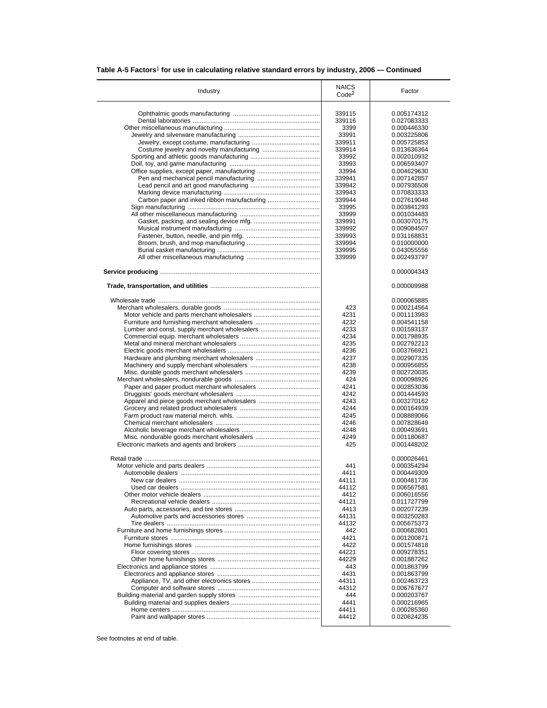# **Table A-5 Factors**1 **for use in calculating relative standard errors by industry, 2006 — Continued**

|                                               | <b>NAICS</b>      |             |
|-----------------------------------------------|-------------------|-------------|
| Industry                                      | Code <sup>2</sup> | Factor      |
|                                               |                   |             |
|                                               | 339115            | 0.005174312 |
|                                               | 339116            | 0.027083333 |
|                                               |                   |             |
|                                               | 3399              | 0.000446330 |
|                                               | 33991             | 0.003225806 |
|                                               | 339911            | 0.005725853 |
|                                               | 339914            | 0.013636364 |
|                                               | 33992             | 0.002010932 |
|                                               | 33993             | 0.006593407 |
|                                               | 33994             | 0.004629630 |
|                                               | 339941            | 0.007142857 |
|                                               |                   |             |
|                                               | 339942            | 0.007936508 |
|                                               | 339943            | 0.070833333 |
|                                               | 339944            | 0.027619048 |
|                                               | 33995             | 0.003841293 |
|                                               | 33999             | 0.001034483 |
|                                               | 339991            | 0.003070175 |
|                                               | 339992            | 0.009084507 |
|                                               | 339993            | 0.031168831 |
|                                               | 339994            | 0.010000000 |
|                                               |                   | 0.043055556 |
|                                               | 339995            |             |
|                                               | 339999            | 0.002493797 |
|                                               |                   | 0.000004343 |
|                                               |                   |             |
|                                               |                   | 0.000009988 |
|                                               |                   | 0.000065885 |
|                                               | 423               | 0.000214564 |
|                                               | 4231              | 0.001113983 |
|                                               | 4232              | 0.004541158 |
| Lumber and const. supply merchant wholesalers | 4233              |             |
|                                               |                   | 0.001593137 |
|                                               | 4234              | 0.001798935 |
|                                               | 4235              | 0.002792213 |
|                                               | 4236              | 0.003766921 |
|                                               | 4237              | 0.002907335 |
|                                               | 4238              | 0.000956855 |
|                                               | 4239              | 0.002720035 |
|                                               | 424               | 0.000098926 |
|                                               | 4241              | 0.002853036 |
|                                               | 4242              | 0.001444593 |
|                                               |                   |             |
|                                               | 4243              | 0.003270162 |
|                                               | 4244              | 0.000164939 |
|                                               | 4245              | 0.008889066 |
|                                               | 4246              | 0.007828649 |
|                                               | 4248              | 0.000493691 |
|                                               | 4249              | 0.001180687 |
|                                               | 425               | 0.001448202 |
|                                               |                   |             |
|                                               |                   | 0.000026461 |
|                                               | 441               | 0.000354294 |
|                                               | 4411              | 0.000449309 |
|                                               | 44111             | 0.000481736 |
|                                               | 44112             | 0.006567581 |
|                                               | 4412              | 0.006016556 |
|                                               | 44121             | 0.011727799 |
|                                               | 4413              | 0.002077239 |
|                                               | 44131             | 0.003250283 |
|                                               | 44132             | 0.005675373 |
|                                               |                   |             |
|                                               | 442               | 0.000682801 |
|                                               | 4421              | 0.001200871 |
|                                               | 4422              | 0.001574818 |
|                                               | 44221             | 0.009278351 |
|                                               | 44229             | 0.001887262 |
|                                               | 443               | 0.001863799 |
|                                               | 4431              | 0.001863799 |
|                                               | 44311             |             |
|                                               |                   | 0.002463723 |
|                                               | 44312             | 0.006767677 |
|                                               | 444               | 0.000203767 |
|                                               | 4441              | 0.000216965 |
|                                               | 44411             | 0.000285360 |
|                                               | 44412             | 0.020624235 |
|                                               |                   |             |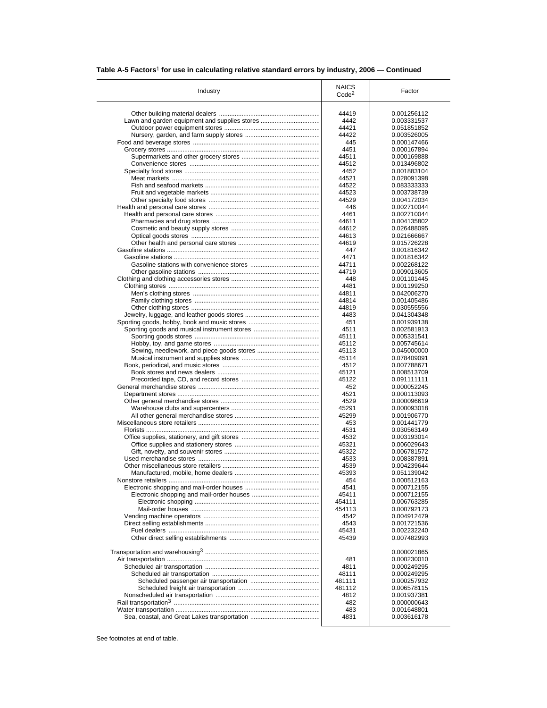|  |  | Table A-5 Factors <sup>1</sup> for use in calculating relative standard errors by industry, 2006 - Continued |  |  |
|--|--|--------------------------------------------------------------------------------------------------------------|--|--|
|--|--|--------------------------------------------------------------------------------------------------------------|--|--|

| Industry                                      | <b>NAICS</b><br>Code <sup>2</sup> | Factor      |
|-----------------------------------------------|-----------------------------------|-------------|
|                                               |                                   |             |
|                                               | 44419                             | 0.001256112 |
| Lawn and garden equipment and supplies stores | 4442                              | 0.003331537 |
|                                               | 44421                             | 0.051851852 |
|                                               | 44422                             | 0.003526005 |
|                                               | 445                               | 0.000147466 |
|                                               | 4451                              | 0.000167894 |
|                                               | 44511                             | 0.000169888 |
|                                               | 44512                             | 0.013496802 |
|                                               | 4452                              | 0.001883104 |
|                                               | 44521                             | 0.028091398 |
|                                               | 44522                             | 0.083333333 |
|                                               | 44523                             | 0.003738739 |
|                                               | 44529                             | 0.004172034 |
|                                               | 446                               | 0.002710044 |
|                                               | 4461                              | 0.002710044 |
|                                               | 44611                             | 0.004135802 |
|                                               | 44612                             | 0.026488095 |
|                                               |                                   |             |
|                                               | 44613                             | 0.021666667 |
|                                               | 44619                             | 0.015726228 |
|                                               | 447                               | 0.001816342 |
|                                               | 4471                              | 0.001816342 |
|                                               | 44711                             | 0.002268122 |
|                                               | 44719                             | 0.009013605 |
|                                               | 448                               | 0.001101445 |
|                                               | 4481                              | 0.001199250 |
|                                               | 44811                             | 0.042006270 |
|                                               | 44814                             | 0.001405486 |
|                                               | 44819                             | 0.030555556 |
|                                               | 4483                              | 0.041304348 |
|                                               | 451                               | 0.001939138 |
|                                               | 4511                              | 0.002581913 |
|                                               | 45111                             | 0.005331541 |
|                                               | 45112                             | 0.005745614 |
|                                               | 45113                             | 0.045000000 |
|                                               | 45114                             | 0.078409091 |
|                                               | 4512                              | 0.007788671 |
|                                               | 45121                             | 0.008513709 |
|                                               | 45122                             | 0.091111111 |
|                                               | 452                               | 0.000052245 |
|                                               | 4521                              | 0.000113093 |
|                                               | 4529                              | 0.000096619 |
|                                               | 45291                             | 0.000093018 |
|                                               |                                   |             |
|                                               | 45299                             | 0.001906770 |
|                                               | 453                               | 0.001441779 |
|                                               | 4531                              | 0.030563149 |
|                                               | 4532                              | 0.003193014 |
|                                               | 45321                             | 0.006029643 |
|                                               | 45322                             | 0.006781572 |
|                                               | 4533                              | 0.008387891 |
|                                               | 4539                              | 0.004239644 |
|                                               | 45393                             | 0.051139042 |
|                                               | 454                               | 0.000512163 |
|                                               | 4541                              | 0.000712155 |
|                                               | 45411                             | 0.000712155 |
|                                               | 454111                            | 0.006763285 |
|                                               | 454113                            | 0.000792173 |
|                                               | 4542                              | 0.004912479 |
|                                               | 4543                              | 0.001721536 |
|                                               | 45431                             | 0.002232240 |
|                                               | 45439                             | 0.007482993 |
|                                               |                                   |             |
|                                               |                                   | 0.000021865 |
|                                               | 481                               | 0.000230010 |
|                                               | 4811                              | 0.000249295 |
|                                               | 48111                             | 0.000249295 |
|                                               | 481111                            | 0.000257932 |
|                                               | 481112                            | 0.006578115 |
|                                               | 4812                              | 0.001937381 |
|                                               |                                   |             |
|                                               | 482                               | 0.000000643 |
|                                               | 483                               | 0.001648801 |
|                                               | 4831                              | 0.003616178 |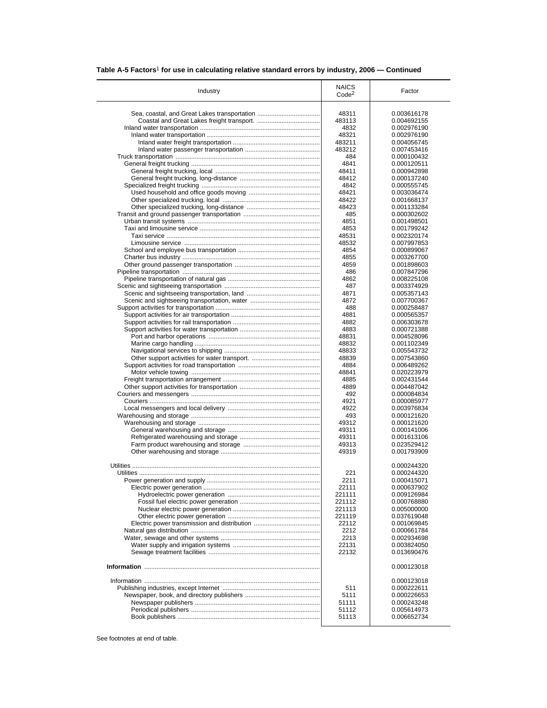| Table A-5 Factors <sup>1</sup> for use in calculating relative standard errors by industry, 2006 – Continued |  |
|--------------------------------------------------------------------------------------------------------------|--|
|                                                                                                              |  |

| Industry         | <b>NAICS</b><br>Code <sup>2</sup> | Factor      |
|------------------|-----------------------------------|-------------|
|                  |                                   |             |
|                  | 48311                             | 0.003616178 |
|                  | 483113                            | 0.004692155 |
|                  | 4832                              | 0.002976190 |
|                  | 48321                             | 0.002976190 |
|                  | 483211                            | 0.004056745 |
|                  | 483212                            | 0.007453416 |
|                  | 484                               | 0.000100432 |
|                  | 4841                              | 0.000120511 |
|                  | 48411                             | 0.000942898 |
|                  | 48412                             | 0.000137240 |
|                  |                                   |             |
|                  | 4842                              | 0.000555745 |
|                  | 48421                             | 0.003036474 |
|                  | 48422                             | 0.001668137 |
|                  | 48423                             | 0.001133284 |
|                  | 485                               | 0.000302602 |
|                  | 4851                              | 0.001498501 |
|                  | 4853                              | 0.001799242 |
|                  | 48531                             | 0.002320174 |
|                  |                                   |             |
|                  | 48532                             | 0.007997853 |
|                  | 4854                              | 0.000899067 |
|                  | 4855                              | 0.003267700 |
|                  | 4859                              | 0.001898603 |
|                  | 486                               | 0.007847296 |
|                  | 4862                              | 0.008225108 |
|                  | 487                               | 0.003374929 |
|                  | 4871                              | 0.005357143 |
|                  | 4872                              | 0.007700367 |
|                  |                                   |             |
|                  | 488                               | 0.000258487 |
|                  | 4881                              | 0.000565357 |
|                  | 4882                              | 0.006303678 |
|                  | 4883                              | 0.000721388 |
|                  | 48831                             | 0.004528096 |
|                  | 48832                             | 0.001102349 |
|                  | 48833                             | 0.005543732 |
|                  | 48839                             | 0.007543860 |
|                  |                                   |             |
|                  | 4884                              | 0.006489262 |
|                  | 48841                             | 0.020223979 |
|                  | 4885                              | 0.002431544 |
|                  | 4889                              | 0.004487042 |
|                  | 492                               | 0.000084834 |
|                  | 4921                              | 0.000085977 |
|                  | 4922                              | 0.003976834 |
|                  | 493                               | 0.000121620 |
|                  |                                   | 0.000121620 |
|                  | 49312                             |             |
|                  | 49311                             | 0.000141006 |
|                  | 49311                             | 0.001613106 |
|                  | 49313                             | 0.023529412 |
|                  | 49319                             | 0.001793909 |
|                  |                                   |             |
|                  |                                   | 0.000244320 |
| <b>Utilities</b> | 221                               | 0.000244320 |
|                  | 2211                              | 0.000415071 |
|                  | 22111                             | 0.000637902 |
|                  |                                   |             |
|                  | 221111                            | 0.009126984 |
|                  | 221112                            | 0.000768880 |
|                  | 221113                            | 0.005000000 |
|                  | 221119                            | 0.037619048 |
|                  | 22112                             | 0.001069845 |
|                  | 2212                              | 0.000661784 |
|                  | 2213                              | 0.002934698 |
|                  |                                   |             |
|                  | 22131                             | 0.003824050 |
|                  | 22132                             | 0.013690476 |
|                  |                                   | 0.000123018 |
|                  |                                   | 0.000123018 |
|                  |                                   |             |
|                  | 511                               | 0.000222611 |
|                  |                                   | 0.000226653 |
|                  | 5111                              |             |
|                  | 51111                             | 0.000243248 |
|                  | 51112                             | 0.005614973 |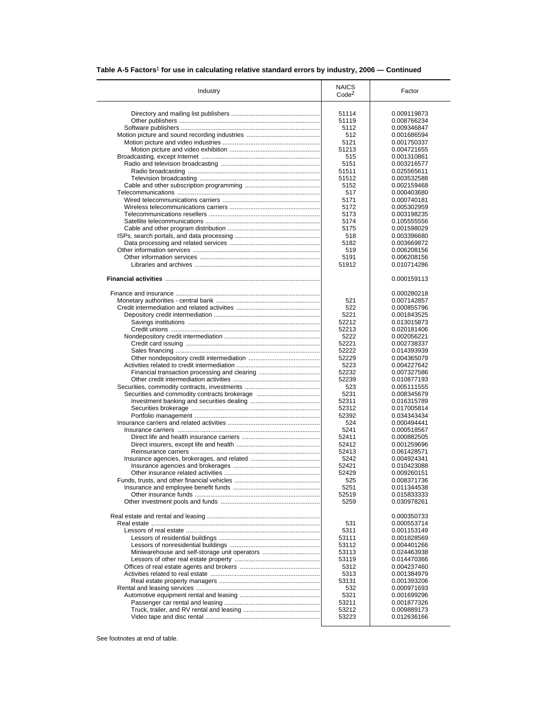| Table A-5 Factors <sup>1</sup> for use in calculating relative standard errors by industry, 2006 – Continued |  |
|--------------------------------------------------------------------------------------------------------------|--|
|                                                                                                              |  |

| Industry                                      | <b>NAICS</b><br>Code <sup>2</sup> | Factor                     |
|-----------------------------------------------|-----------------------------------|----------------------------|
|                                               | 51114                             | 0.009119873                |
|                                               | 51119                             | 0.008766234                |
|                                               | 5112                              |                            |
|                                               |                                   | 0.009346847                |
|                                               | 512                               | 0.001686594                |
|                                               | 5121                              | 0.001750337                |
|                                               | 51213                             | 0.004721655                |
|                                               | 515                               | 0.001310861                |
|                                               | 5151                              | 0.003216577                |
|                                               | 51511                             | 0.025565611                |
|                                               | 51512                             | 0.003532588                |
|                                               | 5152                              | 0.002159468                |
|                                               | 517                               | 0.000403680                |
|                                               | 5171                              | 0.000740181                |
|                                               | 5172                              | 0.005302959                |
|                                               | 5173                              | 0.003198235                |
|                                               | 5174                              | 0.105555556                |
|                                               | 5175                              | 0.001598029                |
|                                               | 518                               | 0.003396680                |
|                                               | 5182                              | 0.003669872                |
|                                               | 519                               | 0.006208156                |
|                                               | 5191                              | 0.006208156                |
|                                               | 51912                             |                            |
|                                               |                                   | 0.010714286                |
|                                               |                                   | 0.000159113                |
|                                               |                                   | 0.000280218                |
|                                               | 521                               | 0.007142857                |
|                                               | 522                               | 0.000855796                |
|                                               | 5221                              | 0.001843525                |
|                                               | 52212                             | 0.013015873                |
|                                               | 52213                             | 0.020181406                |
|                                               | 5222                              | 0.002056221                |
|                                               | 52221                             | 0.002738337                |
|                                               |                                   |                            |
|                                               | 52222                             | 0.014393939                |
|                                               | 52229                             | 0.004365079                |
|                                               | 5223                              | 0.004227642                |
| Financial transaction processing and clearing | 52232                             | 0.007327586                |
|                                               | 52239                             | 0.010877193                |
|                                               | 523                               | 0.005111555                |
|                                               | 5231                              | 0.008345679                |
|                                               | 52311                             | 0.016315789                |
|                                               | 52312                             | 0.017005814                |
|                                               | 52392                             | 0.034343434                |
|                                               | 524                               | 0.000494441                |
|                                               | 5241                              | 0.000518567                |
|                                               | 52411                             | 0.000882505                |
|                                               | 52412                             | 0.001259696                |
|                                               | 52413                             | 0.061428571                |
|                                               | 5242                              | 0.004924341                |
|                                               | 52421                             | 0.010423088                |
|                                               |                                   |                            |
|                                               | 52429                             | 0.009260151                |
|                                               | 525                               | 0.008371736                |
|                                               | 5251                              | 0.011344538                |
|                                               | 52519<br>5259                     | 0.015833333<br>0.030978261 |
|                                               |                                   | 0.000350733                |
|                                               | 531                               | 0.000553714                |
|                                               | 5311                              | 0.001153149                |
|                                               |                                   |                            |
|                                               | 53111                             | 0.001828569                |
|                                               | 53112                             | 0.004401266                |
| Miniwarehouse and self-storage unit operators | 53113                             | 0.024463938                |
|                                               | 53119                             | 0.014470366                |
|                                               | 5312                              | 0.004237460                |
|                                               | 5313                              | 0.001384979                |
|                                               | 53131                             | 0.001393206                |
|                                               | 532                               | 0.000971693                |
|                                               | 5321                              | 0.001699296                |
|                                               | 53211                             | 0.001877326                |
|                                               | 53212                             | 0.009889173                |
|                                               |                                   |                            |
|                                               | 53223                             | 0.012636166                |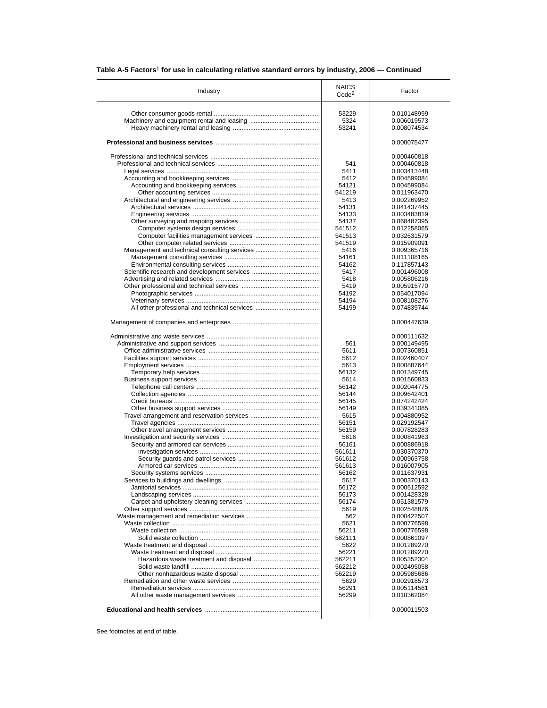| Table A-5 Factors $^{\rm 1}$ for use in calculating relative standard errors by industry, 2006 — Continued |  |  |  |  |
|------------------------------------------------------------------------------------------------------------|--|--|--|--|
|------------------------------------------------------------------------------------------------------------|--|--|--|--|

|                                               | <b>NAICS</b>      |                            |
|-----------------------------------------------|-------------------|----------------------------|
| Industry                                      | Code <sup>2</sup> | Factor                     |
|                                               |                   |                            |
|                                               | 53229             | 0.010148999                |
|                                               | 5324              | 0.006019573                |
|                                               | 53241             | 0.008074534                |
|                                               |                   | 0.000075477                |
|                                               |                   | 0.000460818                |
|                                               | 541               | 0.000460818                |
|                                               | 5411              | 0.003413448                |
|                                               | 5412              | 0.004599084                |
|                                               | 54121             | 0.004599084                |
|                                               | 541219            | 0.011963470                |
|                                               | 5413              | 0.002269952                |
|                                               | 54131             | 0.041437445                |
|                                               | 54133             | 0.003483819                |
|                                               | 54137             | 0.068487395                |
|                                               | 541512            | 0.012258065                |
|                                               | 541513            | 0.032631579                |
|                                               | 541519            | 0.015909091                |
|                                               | 5416              | 0.009365716                |
|                                               | 54161             | 0.011108165                |
|                                               | 54162             | 0.117857143                |
|                                               | 5417              | 0.001496008                |
|                                               | 5418              | 0.005806216                |
|                                               | 5419              | 0.005915770                |
|                                               | 54192             | 0.054017094                |
|                                               | 54194             | 0.008108276                |
| All other professional and technical services | 54199             | 0.074839744                |
|                                               |                   | 0.000447639                |
|                                               |                   | 0.000111632                |
|                                               | 561               | 0.000149495                |
|                                               | 5611              | 0.007360851                |
|                                               | 5612              | 0.002460407                |
|                                               | 5613              | 0.000887644                |
|                                               | 56132             | 0.001349745                |
|                                               | 5614              | 0.001560833                |
|                                               | 56142             | 0.002044775                |
|                                               | 56144             | 0.009642401                |
|                                               | 56145             | 0.074242424                |
|                                               | 56149             | 0.039341085                |
|                                               | 5615              | 0.004880952                |
|                                               | 56151             | 0.029192547                |
|                                               | 56159             | 0.007828283                |
|                                               | 5616              | 0.000841963                |
|                                               | 56161             | 0.000886918                |
|                                               | 561611            | 0.030370370                |
|                                               | 561612<br>561613  | 0.000963758                |
|                                               |                   | 0.016007905                |
|                                               | 56162<br>5617     | 0.011637931                |
|                                               |                   | 0.000370143                |
|                                               | 56172             | 0.000512592                |
|                                               | 56173<br>56174    | 0.001428328                |
|                                               |                   | 0.051381579                |
|                                               | 5619              | 0.002548876                |
|                                               | 562<br>5621       | 0.000422507<br>0.000776598 |
|                                               | 56211             | 0.000776598                |
|                                               | 562111            | 0.000861097                |
|                                               | 5622              | 0.001289270                |
|                                               | 56221             | 0.001289270                |
|                                               | 562211            | 0.005352304                |
|                                               | 562212            | 0.002495058                |
|                                               |                   |                            |
|                                               |                   |                            |
|                                               | 562219            | 0.005985686                |
|                                               | 5629              | 0.002918573                |
|                                               | 56291<br>56299    | 0.005114561<br>0.010362084 |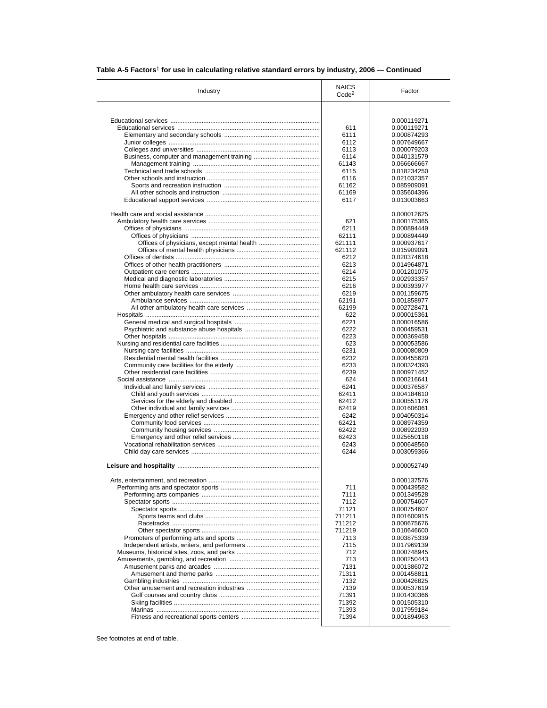|  |  |  | Table A-5 Factors <sup>1</sup> for use in calculating relative standard errors by industry, 2006 — Continued |
|--|--|--|--------------------------------------------------------------------------------------------------------------|
|--|--|--|--------------------------------------------------------------------------------------------------------------|

| Industry | <b>NAICS</b><br>Code <sup>2</sup> | Factor      |
|----------|-----------------------------------|-------------|
|          |                                   |             |
|          |                                   | 0.000119271 |
|          | 611                               | 0.000119271 |
|          | 6111                              | 0.000874293 |
|          | 6112                              | 0.007649667 |
|          | 6113                              | 0.000079203 |
|          |                                   |             |
|          | 6114                              | 0.040131579 |
|          | 61143                             | 0.066666667 |
|          | 6115                              | 0.018234250 |
|          | 6116                              | 0.021032357 |
|          | 61162                             | 0.085909091 |
|          | 61169                             | 0.035604396 |
|          | 6117                              | 0.013003663 |
|          |                                   | 0.000012625 |
|          | 621                               | 0.000175365 |
|          | 6211                              | 0.000894449 |
|          | 62111                             | 0.000894449 |
|          | 621111                            |             |
|          |                                   | 0.000937617 |
|          | 621112                            | 0.015909091 |
|          | 6212                              | 0.020374618 |
|          | 6213                              | 0.014964871 |
|          | 6214                              | 0.001201075 |
|          | 6215                              | 0.002933357 |
|          | 6216                              | 0.000393977 |
|          | 6219                              | 0.001159675 |
|          | 62191                             | 0.001858977 |
|          | 62199                             | 0.002728471 |
|          | 622                               | 0.000015361 |
|          | 6221                              | 0.000016586 |
|          | 6222                              | 0.000459531 |
|          | 6223                              |             |
|          |                                   | 0.000369458 |
|          | 623                               | 0.000053586 |
|          | 6231                              | 0.000080809 |
|          | 6232                              | 0.000455620 |
|          | 6233                              | 0.000324393 |
|          | 6239                              | 0.000971452 |
|          | 624                               | 0.000216641 |
|          | 6241                              | 0.000376587 |
|          | 62411                             | 0.004184610 |
|          | 62412                             | 0.000551176 |
|          | 62419                             | 0.001606061 |
|          | 6242                              | 0.004050314 |
|          | 62421                             | 0.008974359 |
|          | 62422                             | 0.008922030 |
|          | 62423                             | 0.025650118 |
|          | 6243                              |             |
|          |                                   | 0.000648560 |
|          | 6244                              | 0.003059366 |
|          |                                   | 0.000052749 |
|          |                                   | 0.000137576 |
|          | 711                               | 0.000439582 |
|          | 7111                              | 0.001349528 |
|          | 7112                              | 0.000754607 |
|          | 71121                             | 0.000754607 |
|          | 711211                            | 0.001600915 |
|          | 711212                            | 0.000675676 |
|          | 711219                            | 0.010646600 |
|          |                                   |             |
|          | 7113                              | 0.003875339 |
|          | 7115                              | 0.017969139 |
|          | 712                               | 0.000748945 |
|          | 713                               | 0.000250443 |
|          | 7131                              | 0.001386072 |
|          | 71311                             | 0.001458811 |
|          | 7132                              | 0.000426825 |
|          | 7139                              | 0.000537619 |
|          | 71391                             | 0.001430366 |
|          | 71392                             | 0.001505310 |
|          | 71393                             | 0.017959184 |
|          |                                   |             |